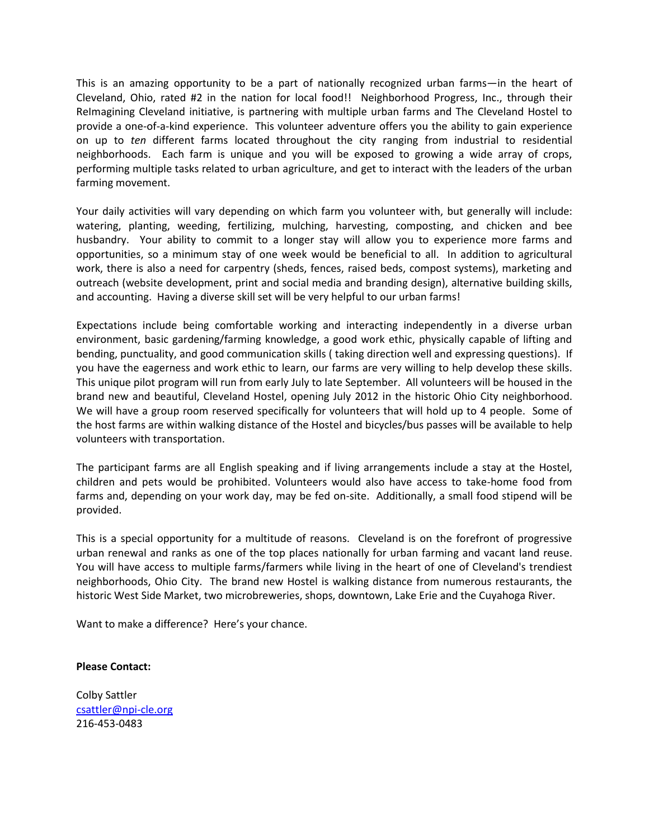This is an amazing opportunity to be a part of nationally recognized urban farms—in the heart of Cleveland, Ohio, rated #2 in the nation for local food!! Neighborhood Progress, Inc., through their ReImagining Cleveland initiative, is partnering with multiple urban farms and The Cleveland Hostel to provide a one-of-a-kind experience. This volunteer adventure offers you the ability to gain experience on up to *ten* different farms located throughout the city ranging from industrial to residential neighborhoods. Each farm is unique and you will be exposed to growing a wide array of crops, performing multiple tasks related to urban agriculture, and get to interact with the leaders of the urban farming movement.

Your daily activities will vary depending on which farm you volunteer with, but generally will include: watering, planting, weeding, fertilizing, mulching, harvesting, composting, and chicken and bee husbandry. Your ability to commit to a longer stay will allow you to experience more farms and opportunities, so a minimum stay of one week would be beneficial to all. In addition to agricultural work, there is also a need for carpentry (sheds, fences, raised beds, compost systems), marketing and outreach (website development, print and social media and branding design), alternative building skills, and accounting. Having a diverse skill set will be very helpful to our urban farms!

Expectations include being comfortable working and interacting independently in a diverse urban environment, basic gardening/farming knowledge, a good work ethic, physically capable of lifting and bending, punctuality, and good communication skills ( taking direction well and expressing questions). If you have the eagerness and work ethic to learn, our farms are very willing to help develop these skills. This unique pilot program will run from early July to late September. All volunteers will be housed in the brand new and beautiful, Cleveland Hostel, opening July 2012 in the historic Ohio City neighborhood. We will have a group room reserved specifically for volunteers that will hold up to 4 people. Some of the host farms are within walking distance of the Hostel and bicycles/bus passes will be available to help volunteers with transportation.

The participant farms are all English speaking and if living arrangements include a stay at the Hostel, children and pets would be prohibited. Volunteers would also have access to take-home food from farms and, depending on your work day, may be fed on-site. Additionally, a small food stipend will be provided.

This is a special opportunity for a multitude of reasons. Cleveland is on the forefront of progressive urban renewal and ranks as one of the top places nationally for urban farming and vacant land reuse. You will have access to multiple farms/farmers while living in the heart of one of Cleveland's trendiest neighborhoods, Ohio City. The brand new Hostel is walking distance from numerous restaurants, the historic West Side Market, two microbreweries, shops, downtown, Lake Erie and the Cuyahoga River.

Want to make a difference? Here's your chance.

## **Please Contact:**

Colby Sattler [csattler@npi-cle.org](mailto:csattler@npi-cle.org) 216-453-0483